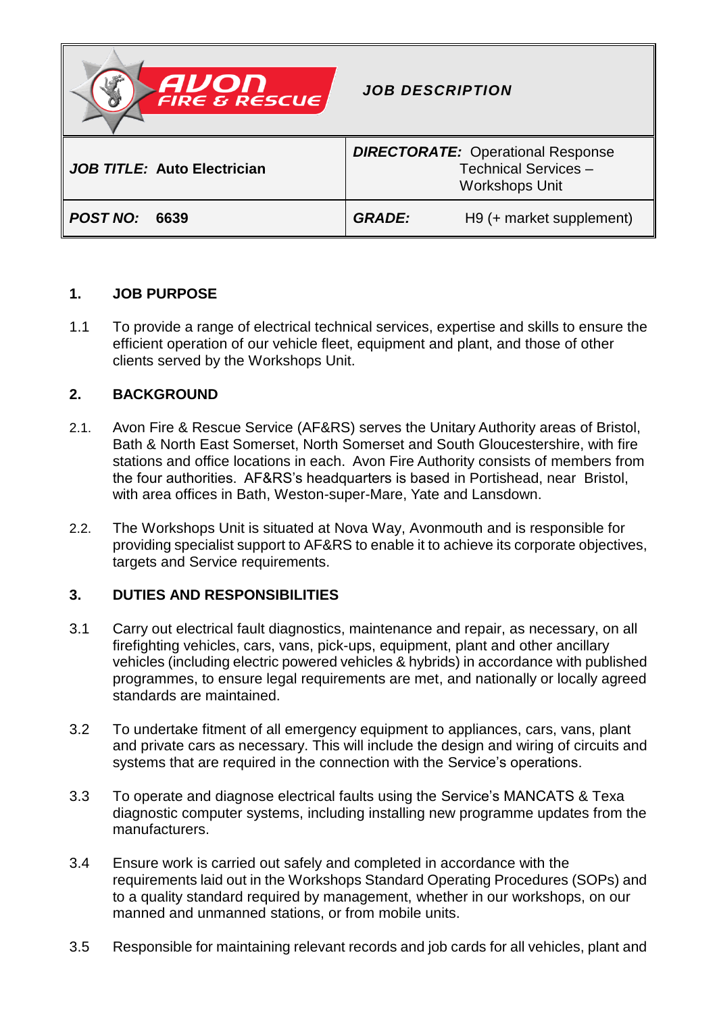

# **1. JOB PURPOSE**

1.1 To provide a range of electrical technical services, expertise and skills to ensure the efficient operation of our vehicle fleet, equipment and plant, and those of other clients served by the Workshops Unit.

# **2. BACKGROUND**

- 2.1. Avon Fire & Rescue Service (AF&RS) serves the Unitary Authority areas of Bristol, Bath & North East Somerset, North Somerset and South Gloucestershire, with fire stations and office locations in each. Avon Fire Authority consists of members from the four authorities. AF&RS's headquarters is based in Portishead, near Bristol, with area offices in Bath, Weston-super-Mare, Yate and Lansdown.
- 2.2. The Workshops Unit is situated at Nova Way, Avonmouth and is responsible for providing specialist support to AF&RS to enable it to achieve its corporate objectives, targets and Service requirements.

## **3. DUTIES AND RESPONSIBILITIES**

- 3.1 Carry out electrical fault diagnostics, maintenance and repair, as necessary, on all firefighting vehicles, cars, vans, pick-ups, equipment, plant and other ancillary vehicles (including electric powered vehicles & hybrids) in accordance with published programmes, to ensure legal requirements are met, and nationally or locally agreed standards are maintained.
- 3.2 To undertake fitment of all emergency equipment to appliances, cars, vans, plant and private cars as necessary. This will include the design and wiring of circuits and systems that are required in the connection with the Service's operations.
- 3.3 To operate and diagnose electrical faults using the Service's MANCATS & Texa diagnostic computer systems, including installing new programme updates from the manufacturers.
- 3.4 Ensure work is carried out safely and completed in accordance with the requirements laid out in the Workshops Standard Operating Procedures (SOPs) and to a quality standard required by management, whether in our workshops, on our manned and unmanned stations, or from mobile units.
- 3.5 Responsible for maintaining relevant records and job cards for all vehicles, plant and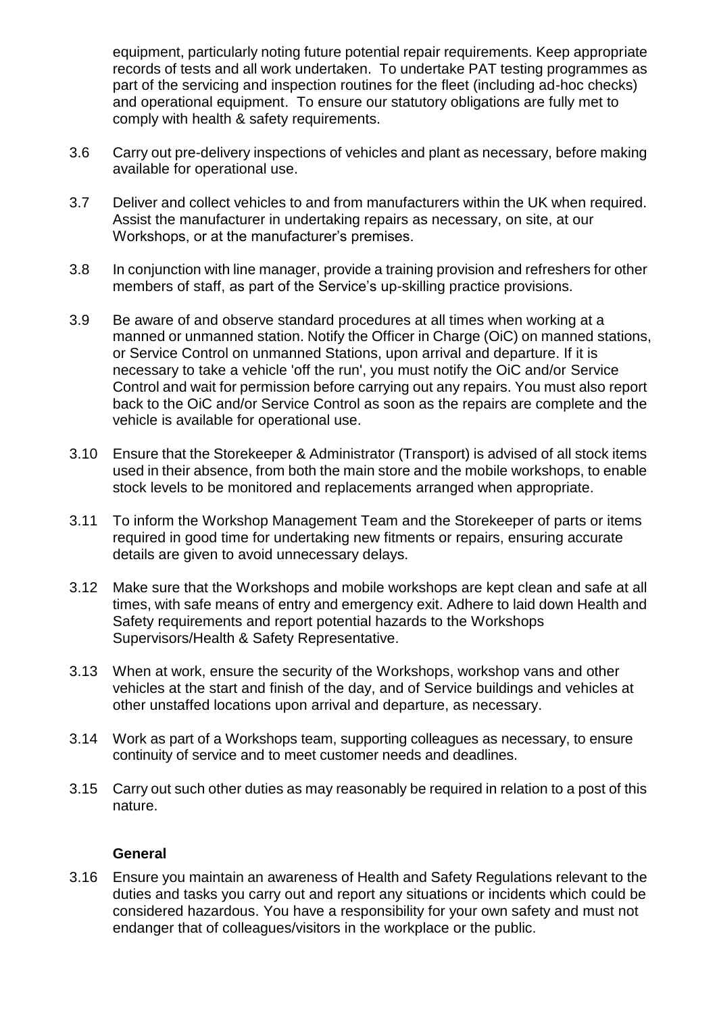equipment, particularly noting future potential repair requirements. Keep appropriate records of tests and all work undertaken. To undertake PAT testing programmes as part of the servicing and inspection routines for the fleet (including ad-hoc checks) and operational equipment. To ensure our statutory obligations are fully met to comply with health & safety requirements.

- 3.6 Carry out pre-delivery inspections of vehicles and plant as necessary, before making available for operational use.
- 3.7 Deliver and collect vehicles to and from manufacturers within the UK when required. Assist the manufacturer in undertaking repairs as necessary, on site, at our Workshops, or at the manufacturer's premises.
- 3.8 In conjunction with line manager, provide a training provision and refreshers for other members of staff, as part of the Service's up-skilling practice provisions.
- 3.9 Be aware of and observe standard procedures at all times when working at a manned or unmanned station. Notify the Officer in Charge (OiC) on manned stations, or Service Control on unmanned Stations, upon arrival and departure. If it is necessary to take a vehicle 'off the run', you must notify the OiC and/or Service Control and wait for permission before carrying out any repairs. You must also report back to the OiC and/or Service Control as soon as the repairs are complete and the vehicle is available for operational use.
- 3.10 Ensure that the Storekeeper & Administrator (Transport) is advised of all stock items used in their absence, from both the main store and the mobile workshops, to enable stock levels to be monitored and replacements arranged when appropriate.
- 3.11 To inform the Workshop Management Team and the Storekeeper of parts or items required in good time for undertaking new fitments or repairs, ensuring accurate details are given to avoid unnecessary delays.
- 3.12 Make sure that the Workshops and mobile workshops are kept clean and safe at all times, with safe means of entry and emergency exit. Adhere to laid down Health and Safety requirements and report potential hazards to the Workshops Supervisors/Health & Safety Representative.
- 3.13 When at work, ensure the security of the Workshops, workshop vans and other vehicles at the start and finish of the day, and of Service buildings and vehicles at other unstaffed locations upon arrival and departure, as necessary.
- 3.14 Work as part of a Workshops team, supporting colleagues as necessary, to ensure continuity of service and to meet customer needs and deadlines.
- 3.15 Carry out such other duties as may reasonably be required in relation to a post of this nature.

### **General**

3.16 Ensure you maintain an awareness of Health and Safety Regulations relevant to the duties and tasks you carry out and report any situations or incidents which could be considered hazardous. You have a responsibility for your own safety and must not endanger that of colleagues/visitors in the workplace or the public.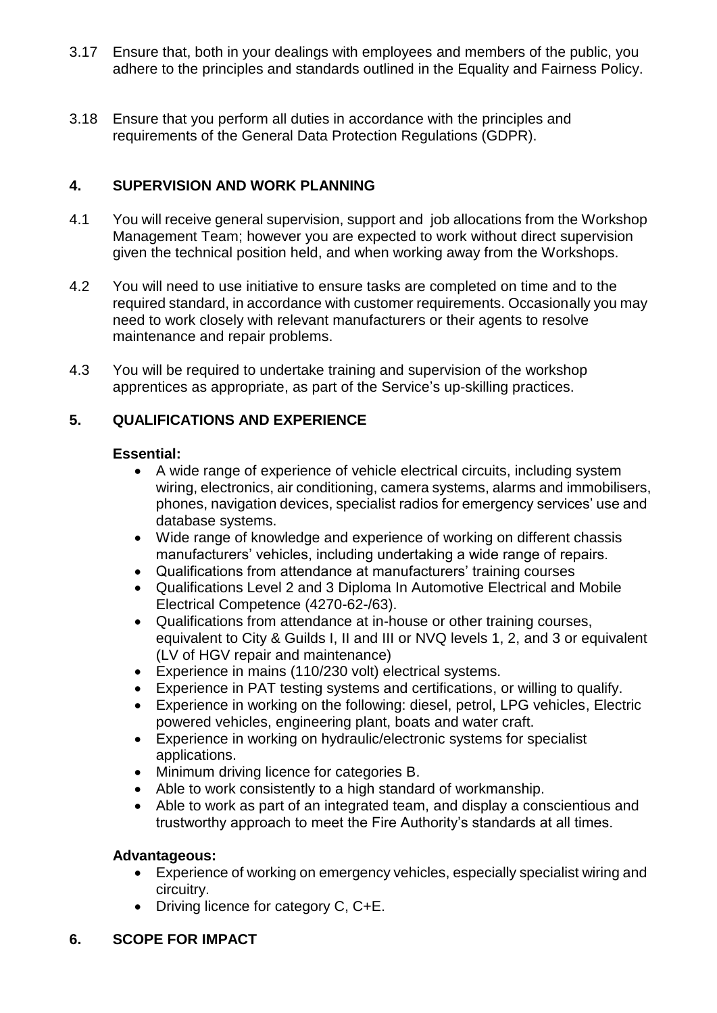- 3.17 Ensure that, both in your dealings with employees and members of the public, you adhere to the principles and standards outlined in the Equality and Fairness Policy.
- 3.18 Ensure that you perform all duties in accordance with the principles and requirements of the General Data Protection Regulations (GDPR).

## **4. SUPERVISION AND WORK PLANNING**

- 4.1 You will receive general supervision, support and job allocations from the Workshop Management Team; however you are expected to work without direct supervision given the technical position held, and when working away from the Workshops.
- 4.2 You will need to use initiative to ensure tasks are completed on time and to the required standard, in accordance with customer requirements. Occasionally you may need to work closely with relevant manufacturers or their agents to resolve maintenance and repair problems.
- 4.3 You will be required to undertake training and supervision of the workshop apprentices as appropriate, as part of the Service's up-skilling practices.

# **5. QUALIFICATIONS AND EXPERIENCE**

### **Essential:**

- A wide range of experience of vehicle electrical circuits, including system wiring, electronics, air conditioning, camera systems, alarms and immobilisers, phones, navigation devices, specialist radios for emergency services' use and database systems.
- Wide range of knowledge and experience of working on different chassis manufacturers' vehicles, including undertaking a wide range of repairs.
- Qualifications from attendance at manufacturers' training courses
- Qualifications Level 2 and 3 Diploma In Automotive Electrical and Mobile Electrical Competence (4270-62-/63).
- Qualifications from attendance at in-house or other training courses, equivalent to City & Guilds I, II and III or NVQ levels 1, 2, and 3 or equivalent (LV of HGV repair and maintenance)
- Experience in mains (110/230 volt) electrical systems.
- Experience in PAT testing systems and certifications, or willing to qualify.
- Experience in working on the following: diesel, petrol, LPG vehicles, Electric powered vehicles, engineering plant, boats and water craft.
- Experience in working on hydraulic/electronic systems for specialist applications.
- Minimum driving licence for categories B.
- Able to work consistently to a high standard of workmanship.
- Able to work as part of an integrated team, and display a conscientious and trustworthy approach to meet the Fire Authority's standards at all times.

## **Advantageous:**

- Experience of working on emergency vehicles, especially specialist wiring and circuitry.
- Driving licence for category C, C+E.

# **6. SCOPE FOR IMPACT**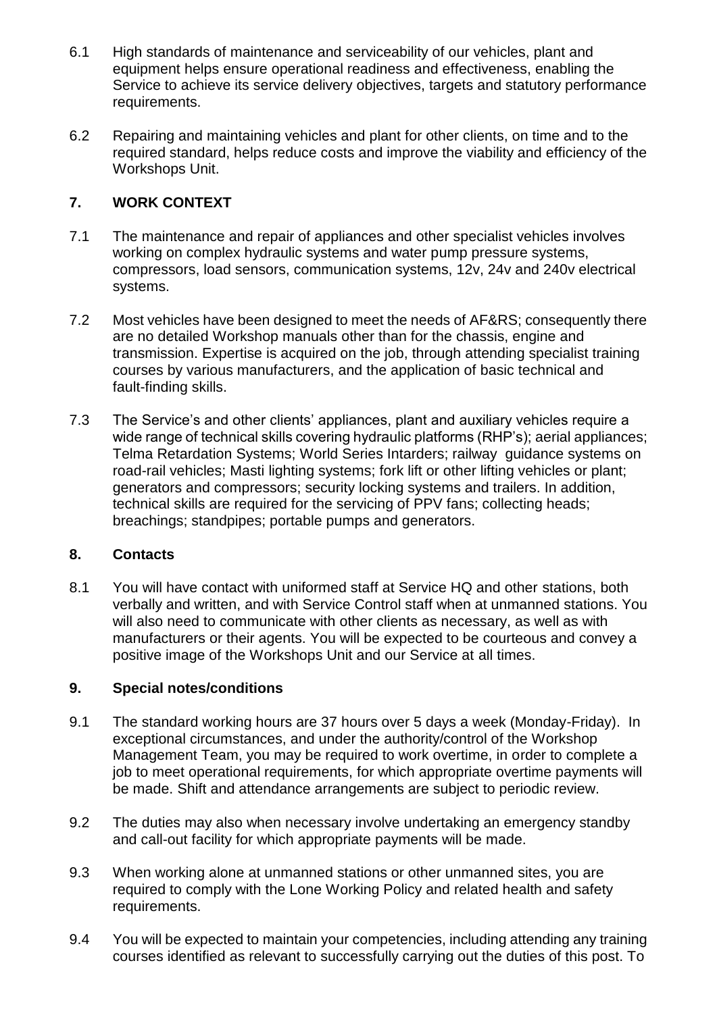- 6.1 High standards of maintenance and serviceability of our vehicles, plant and equipment helps ensure operational readiness and effectiveness, enabling the Service to achieve its service delivery objectives, targets and statutory performance requirements.
- 6.2 Repairing and maintaining vehicles and plant for other clients, on time and to the required standard, helps reduce costs and improve the viability and efficiency of the Workshops Unit.

## **7. WORK CONTEXT**

- 7.1 The maintenance and repair of appliances and other specialist vehicles involves working on complex hydraulic systems and water pump pressure systems, compressors, load sensors, communication systems, 12v, 24v and 240v electrical systems.
- 7.2 Most vehicles have been designed to meet the needs of AF&RS; consequently there are no detailed Workshop manuals other than for the chassis, engine and transmission. Expertise is acquired on the job, through attending specialist training courses by various manufacturers, and the application of basic technical and fault-finding skills.
- 7.3 The Service's and other clients' appliances, plant and auxiliary vehicles require a wide range of technical skills covering hydraulic platforms (RHP's); aerial appliances; Telma Retardation Systems; World Series Intarders; railway guidance systems on road-rail vehicles; Masti lighting systems; fork lift or other lifting vehicles or plant; generators and compressors; security locking systems and trailers. In addition, technical skills are required for the servicing of PPV fans; collecting heads; breachings; standpipes; portable pumps and generators.

### **8. Contacts**

8.1 You will have contact with uniformed staff at Service HQ and other stations, both verbally and written, and with Service Control staff when at unmanned stations. You will also need to communicate with other clients as necessary, as well as with manufacturers or their agents. You will be expected to be courteous and convey a positive image of the Workshops Unit and our Service at all times.

## **9. Special notes/conditions**

- 9.1 The standard working hours are 37 hours over 5 days a week (Monday-Friday). In exceptional circumstances, and under the authority/control of the Workshop Management Team, you may be required to work overtime, in order to complete a job to meet operational requirements, for which appropriate overtime payments will be made. Shift and attendance arrangements are subject to periodic review.
- 9.2 The duties may also when necessary involve undertaking an emergency standby and call-out facility for which appropriate payments will be made.
- 9.3 When working alone at unmanned stations or other unmanned sites, you are required to comply with the Lone Working Policy and related health and safety requirements.
- 9.4 You will be expected to maintain your competencies, including attending any training courses identified as relevant to successfully carrying out the duties of this post. To